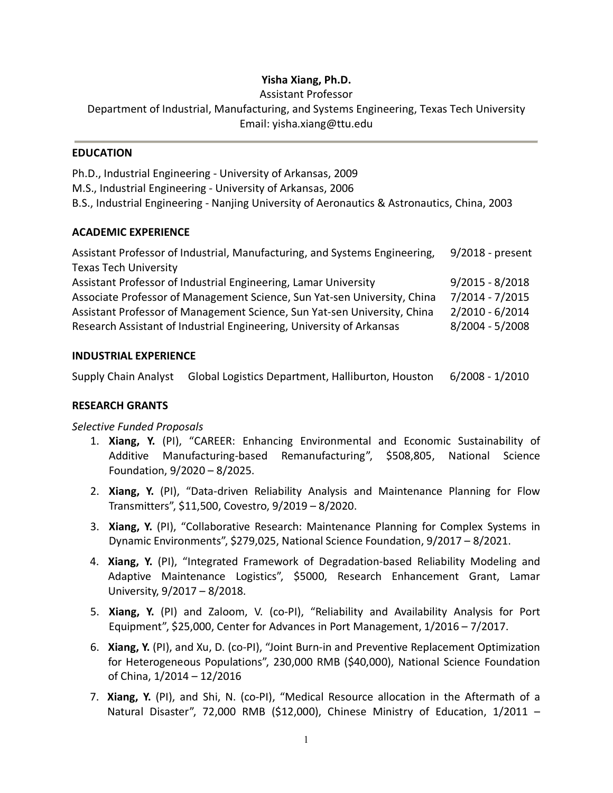# **Yisha Xiang, Ph.D.**

Assistant Professor

Department of Industrial, Manufacturing, and Systems Engineering, Texas Tech University Email: yisha.xiang@ttu.edu

#### **EDUCATION**

Ph.D., Industrial Engineering - University of Arkansas, 2009 M.S., Industrial Engineering - University of Arkansas, 2006 B.S., Industrial Engineering - Nanjing University of Aeronautics & Astronautics, China, 2003

## **ACADEMIC EXPERIENCE**

| Assistant Professor of Industrial, Manufacturing, and Systems Engineering, | 9/2018 - present  |
|----------------------------------------------------------------------------|-------------------|
| <b>Texas Tech University</b>                                               |                   |
| Assistant Professor of Industrial Engineering, Lamar University            | $9/2015 - 8/2018$ |
| Associate Professor of Management Science, Sun Yat-sen University, China   | 7/2014 - 7/2015   |
| Assistant Professor of Management Science, Sun Yat-sen University, China   | $2/2010 - 6/2014$ |
| Research Assistant of Industrial Engineering, University of Arkansas       | 8/2004 - 5/2008   |
|                                                                            |                   |

## **INDUSTRIAL EXPERIENCE**

Supply Chain Analyst Global Logistics Department, Halliburton, Houston6/2008 - 1/2010

## **RESEARCH GRANTS**

## *Selective Funded Proposals*

- 1. **Xiang, Y.** (PI), "CAREER: Enhancing Environmental and Economic Sustainability of Additive Manufacturing-based Remanufacturing", \$508,805, National Science Foundation, 9/2020 – 8/2025.
- 2. **Xiang, Y.** (PI), "Data-driven Reliability Analysis and Maintenance Planning for Flow Transmitters", \$11,500, Covestro, 9/2019 – 8/2020.
- 3. **Xiang, Y.** (PI), "Collaborative Research: Maintenance Planning for Complex Systems in Dynamic Environments", \$279,025, National Science Foundation, 9/2017 – 8/2021.
- 4. **Xiang, Y.** (PI), "Integrated Framework of Degradation-based Reliability Modeling and Adaptive Maintenance Logistics", \$5000, Research Enhancement Grant, Lamar University, 9/2017 – 8/2018.
- 5. **Xiang, Y.** (PI) and Zaloom, V. (co-PI), "Reliability and Availability Analysis for Port Equipment", \$25,000, Center for Advances in Port Management, 1/2016 – 7/2017.
- 6. **Xiang, Y.** (PI), and Xu, D. (co-PI), "Joint Burn-in and Preventive Replacement Optimization for Heterogeneous Populations", 230,000 RMB (\$40,000), National Science Foundation of China, 1/2014 – 12/2016
- 7. **Xiang, Y.** (PI), and Shi, N. (co-PI), "Medical Resource allocation in the Aftermath of a Natural Disaster", 72,000 RMB (\$12,000), Chinese Ministry of Education, 1/2011 –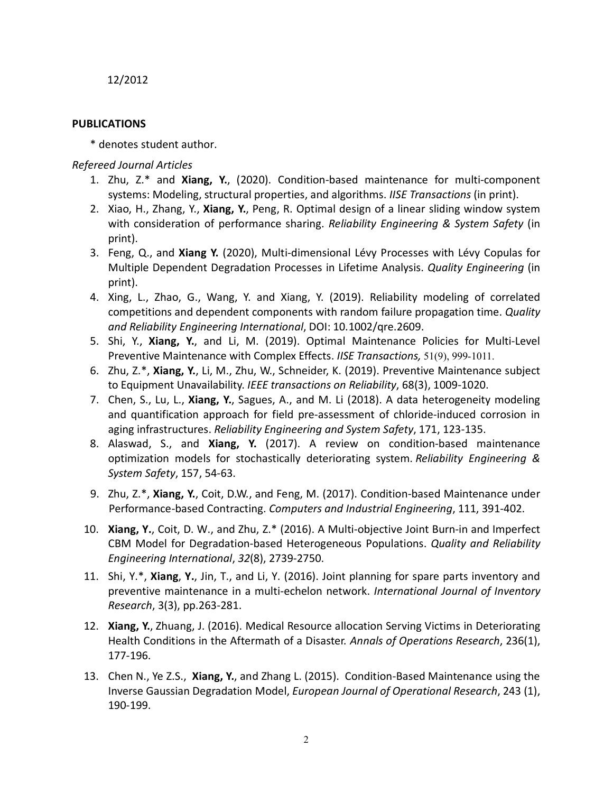12/2012

## **PUBLICATIONS**

\* denotes student author.

*Refereed Journal Articles*

- 1. Zhu, Z.\* and **Xiang, Y.**, (2020). Condition-based maintenance for multi-component systems: Modeling, structural properties, and algorithms. *IISE Transactions* (in print).
- 2. Xiao, H., Zhang, Y., **Xiang, Y.**, Peng, R. Optimal design of a linear sliding window system with consideration of performance sharing. *Reliability Engineering & System Safety* (in print).
- 3. Feng, Q., and **Xiang Y.** (2020), Multi-dimensional Lévy Processes with Lévy Copulas for Multiple Dependent Degradation Processes in Lifetime Analysis. *Quality Engineering* (in print).
- 4. Xing, L., Zhao, G., Wang, Y. and Xiang, Y. (2019). Reliability modeling of correlated competitions and dependent components with random failure propagation time. *Quality and Reliability Engineering International*, DOI: 10.1002/qre.2609.
- 5. Shi, Y., **Xiang, Y.**, and Li, M. (2019). Optimal Maintenance Policies for Multi-Level Preventive Maintenance with Complex Effects. *IISE Transactions,* 51(9), 999-1011.
- 6. Zhu, Z.\*, **Xiang, Y.**, Li, M., Zhu, W., Schneider, K. (2019). Preventive Maintenance subject to Equipment Unavailability. *IEEE transactions on Reliability*, 68(3), 1009-1020.
- 7. Chen, S., Lu, L., **Xiang, Y.**, Sagues, A., and M. Li (2018). A data heterogeneity modeling and quantification approach for field pre-assessment of chloride-induced corrosion in aging infrastructures. *Reliability Engineering and System Safety*, 171, 123-135.
- 8. Alaswad, S., and **Xiang, Y.** (2017). A review on condition-based maintenance optimization models for stochastically deteriorating system. *Reliability Engineering & System Safety*, 157, 54-63.
- 9. Zhu, Z.\*, **Xiang, Y.**, Coit, D.W., and Feng, M. (2017). Condition-based Maintenance under Performance-based Contracting. *Computers and Industrial Engineering*, 111, 391-402.
- 10. **Xiang, Y.**, Coit, D. W., and Zhu, Z.\* (2016). A Multi-objective Joint Burn-in and Imperfect CBM Model for Degradation-based Heterogeneous Populations. *Quality and Reliability Engineering International*, *32*(8), 2739-2750.
- 11. Shi, Y.\*, **Xiang**, **Y.**, Jin, T., and Li, Y. (2016). Joint planning for spare parts inventory and preventive maintenance in a multi-echelon network. *International Journal of Inventory Research*, 3(3), pp.263-281.
- 12. **Xiang, Y.**, Zhuang, J. (2016). Medical Resource allocation Serving Victims in Deteriorating Health Conditions in the Aftermath of a Disaster. *Annals of Operations Research*, 236(1), 177-196.
- 13. Chen N., Ye Z.S., **Xiang, Y.**, and Zhang L. (2015). Condition-Based Maintenance using the Inverse Gaussian Degradation Model, *European Journal of Operational Research*, 243 (1), 190-199.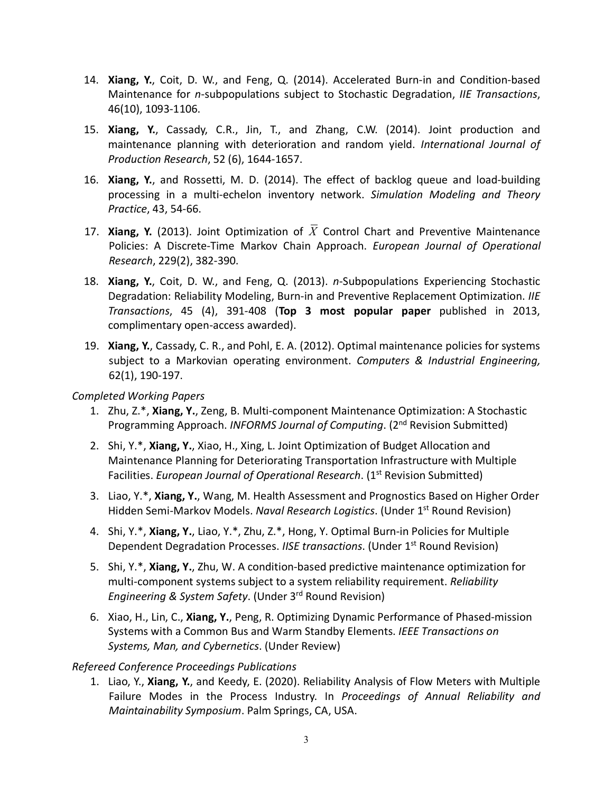- 14. **Xiang, Y.**, Coit, D. W., and Feng, Q. (2014). Accelerated Burn-in and Condition-based Maintenance for *n*-subpopulations subject to Stochastic Degradation, *IIE Transactions*, 46(10), 1093-1106.
- 15. **Xiang, Y.**, Cassady, C.R., Jin, T., and Zhang, C.W. (2014). Joint production and maintenance planning with deterioration and random yield. *International Journal of Production Research*, 52 (6), 1644-1657.
- 16. **Xiang, Y.**, and Rossetti, M. D. (2014). The effect of backlog queue and load-building processing in a multi-echelon inventory network. *Simulation Modeling and Theory Practice*, 43, 54-66.
- 17. **Xiang, Y.** (2013). Joint Optimization of  $\overline{X}$  Control Chart and Preventive Maintenance Policies: A Discrete-Time Markov Chain Approach. *European Journal of Operational Research*, 229(2), 382-390.
- 18. **Xiang, Y.**, Coit, D. W., and Feng, Q. (2013). *n*-Subpopulations Experiencing Stochastic Degradation: Reliability Modeling, Burn-in and Preventive Replacement Optimization. *IIE Transactions*, 45 (4), 391-408 (**Top 3 most popular paper** published in 2013, complimentary open-access awarded).
- 19. **Xiang, Y.**, Cassady, C. R., and Pohl, E. A. (2012). Optimal maintenance policies for systems subject to a Markovian operating environment. *Computers & Industrial Engineering,*  62(1), 190-197.

## *Completed Working Papers*

- 1. Zhu, Z.\*, **Xiang, Y.**, Zeng, B. Multi-component Maintenance Optimization: A Stochastic Programming Approach. *INFORMS Journal of Computing*. (2nd Revision Submitted)
- 2. Shi, Y.\*, **Xiang, Y.**, Xiao, H., Xing, L. Joint Optimization of Budget Allocation and Maintenance Planning for Deteriorating Transportation Infrastructure with Multiple Facilities. *European Journal of Operational Research*. (1<sup>st</sup> Revision Submitted)
- 3. Liao, Y.\*, **Xiang, Y.**, Wang, M. Health Assessment and Prognostics Based on Higher Order Hidden Semi-Markov Models. *Naval Research Logistics*. (Under 1st Round Revision)
- 4. Shi, Y.\*, **Xiang, Y.**, Liao, Y.\*, Zhu, Z.\*, Hong, Y. Optimal Burn-in Policies for Multiple Dependent Degradation Processes. *IISE transactions*. (Under 1st Round Revision)
- 5. Shi, Y.\*, **Xiang, Y.**, Zhu, W. A condition-based predictive maintenance optimization for multi-component systems subject to a system reliability requirement. *Reliability Engineering & System Safety*. (Under 3rd Round Revision)
- 6. Xiao, H., Lin, C., **Xiang, Y.**, Peng, R. Optimizing Dynamic Performance of Phased-mission Systems with a Common Bus and Warm Standby Elements. *IEEE Transactions on Systems, Man, and Cybernetics*. (Under Review)

# *Refereed Conference Proceedings Publications*

1. Liao, Y., **Xiang, Y.**, and Keedy, E. (2020). Reliability Analysis of Flow Meters with Multiple Failure Modes in the Process Industry. In *Proceedings of Annual Reliability and Maintainability Symposium*. Palm Springs, CA, USA.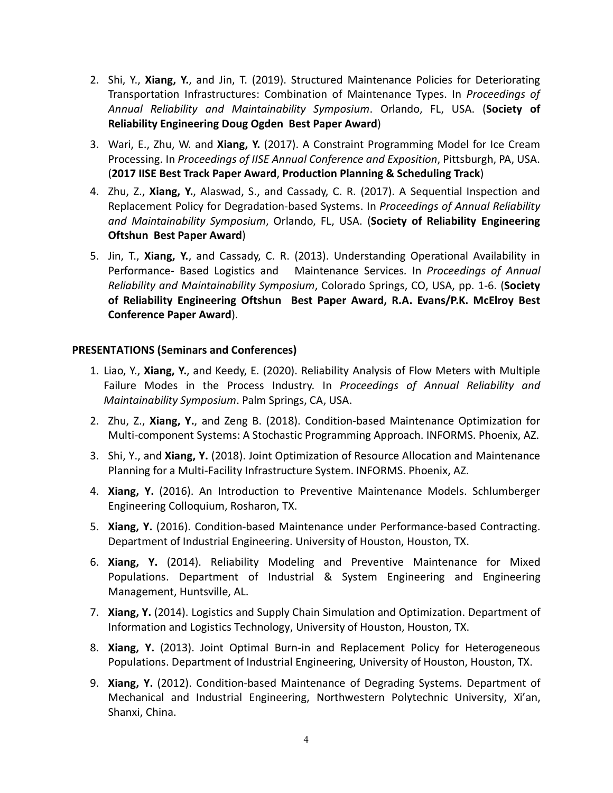- 2. Shi, Y., **Xiang, Y.**, and Jin, T. (2019). Structured Maintenance Policies for Deteriorating Transportation Infrastructures: Combination of Maintenance Types. In *Proceedings of Annual Reliability and Maintainability Symposium*. Orlando, FL, USA. (**Society of Reliability Engineering Doug Ogden Best Paper Award**)
- 3. Wari, E., Zhu, W. and **Xiang, Y.** (2017). A Constraint Programming Model for Ice Cream Processing. In *Proceedings of IISE Annual Conference and Exposition*, Pittsburgh, PA, USA. (**2017 IISE Best Track Paper Award**, **Production Planning & Scheduling Track**)
- 4. Zhu, Z., **Xiang, Y.**, Alaswad, S., and Cassady, C. R. (2017). A Sequential Inspection and Replacement Policy for Degradation-based Systems. In *Proceedings of Annual Reliability and Maintainability Symposium*, Orlando, FL, USA. (**Society of Reliability Engineering Oftshun Best Paper Award**)
- 5. Jin, T., **Xiang, Y.**, and Cassady, C. R. (2013). Understanding Operational Availability in Performance- Based Logistics and Maintenance Services*.* In *Proceedings of Annual Reliability and Maintainability Symposium*, Colorado Springs, CO, USA, pp. 1-6. (**Society of Reliability Engineering Oftshun Best Paper Award, R.A. Evans/P.K. McElroy Best Conference Paper Award**).

## **PRESENTATIONS (Seminars and Conferences)**

- 1. Liao, Y., **Xiang, Y.**, and Keedy, E. (2020). Reliability Analysis of Flow Meters with Multiple Failure Modes in the Process Industry. In *Proceedings of Annual Reliability and Maintainability Symposium*. Palm Springs, CA, USA.
- 2. Zhu, Z., **Xiang, Y.**, and Zeng B. (2018). Condition-based Maintenance Optimization for Multi-component Systems: A Stochastic Programming Approach. INFORMS. Phoenix, AZ.
- 3. Shi, Y., and **Xiang, Y.** (2018). Joint Optimization of Resource Allocation and Maintenance Planning for a Multi-Facility Infrastructure System. INFORMS. Phoenix, AZ.
- 4. **Xiang, Y.** (2016). An Introduction to Preventive Maintenance Models. Schlumberger Engineering Colloquium, Rosharon, TX.
- 5. **Xiang, Y.** (2016). Condition-based Maintenance under Performance-based Contracting. Department of Industrial Engineering. University of Houston, Houston, TX.
- 6. **Xiang, Y.** (2014). Reliability Modeling and Preventive Maintenance for Mixed Populations. Department of Industrial & System Engineering and Engineering Management, Huntsville, AL.
- 7. **Xiang, Y.** (2014). Logistics and Supply Chain Simulation and Optimization. Department of Information and Logistics Technology, University of Houston, Houston, TX.
- 8. **Xiang, Y.** (2013). Joint Optimal Burn-in and Replacement Policy for Heterogeneous Populations. Department of Industrial Engineering, University of Houston, Houston, TX.
- 9. **Xiang, Y.** (2012). Condition-based Maintenance of Degrading Systems. Department of Mechanical and Industrial Engineering, Northwestern Polytechnic University, Xi'an, Shanxi, China.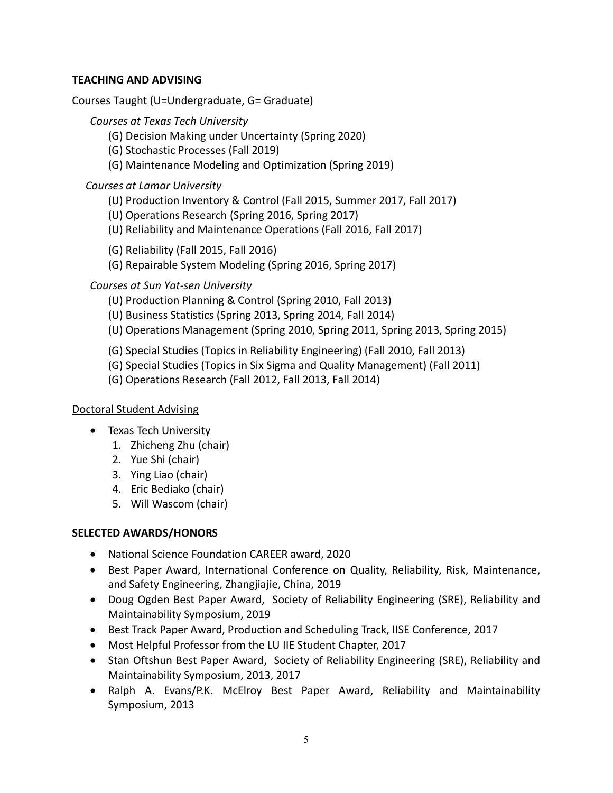# **TEACHING AND ADVISING**

## Courses Taught (U=Undergraduate, G= Graduate)

## *Courses at Texas Tech University*

- (G) Decision Making under Uncertainty (Spring 2020)
- (G) Stochastic Processes (Fall 2019)
- (G) Maintenance Modeling and Optimization (Spring 2019)

# *Courses at Lamar University*

- (U) Production Inventory & Control (Fall 2015, Summer 2017, Fall 2017)
- (U) Operations Research (Spring 2016, Spring 2017)
- (U) Reliability and Maintenance Operations (Fall 2016, Fall 2017)

(G) Reliability (Fall 2015, Fall 2016)

(G) Repairable System Modeling (Spring 2016, Spring 2017)

# *Courses at Sun Yat-sen University*

- (U) Production Planning & Control (Spring 2010, Fall 2013)
- (U) Business Statistics (Spring 2013, Spring 2014, Fall 2014)
- (U) Operations Management (Spring 2010, Spring 2011, Spring 2013, Spring 2015)
- (G) Special Studies (Topics in Reliability Engineering) (Fall 2010, Fall 2013)
- (G) Special Studies (Topics in Six Sigma and Quality Management) (Fall 2011)
- (G) Operations Research (Fall 2012, Fall 2013, Fall 2014)

# Doctoral Student Advising

- Texas Tech University
	- 1. Zhicheng Zhu (chair)
	- 2. Yue Shi (chair)
	- 3. Ying Liao (chair)
	- 4. Eric Bediako (chair)
	- 5. Will Wascom (chair)

# **SELECTED AWARDS/HONORS**

- National Science Foundation CAREER award, 2020
- Best Paper Award, International Conference on Quality, Reliability, Risk, Maintenance, and Safety Engineering, Zhangjiajie, China, 2019
- Doug Ogden Best Paper Award, Society of Reliability Engineering (SRE), Reliability and Maintainability Symposium, 2019
- Best Track Paper Award, Production and Scheduling Track, IISE Conference, 2017
- Most Helpful Professor from the LU IIE Student Chapter, 2017
- Stan Oftshun Best Paper Award, Society of Reliability Engineering (SRE), Reliability and Maintainability Symposium, 2013, 2017
- Ralph A. Evans/P.K. McElroy Best Paper Award, Reliability and Maintainability Symposium, 2013